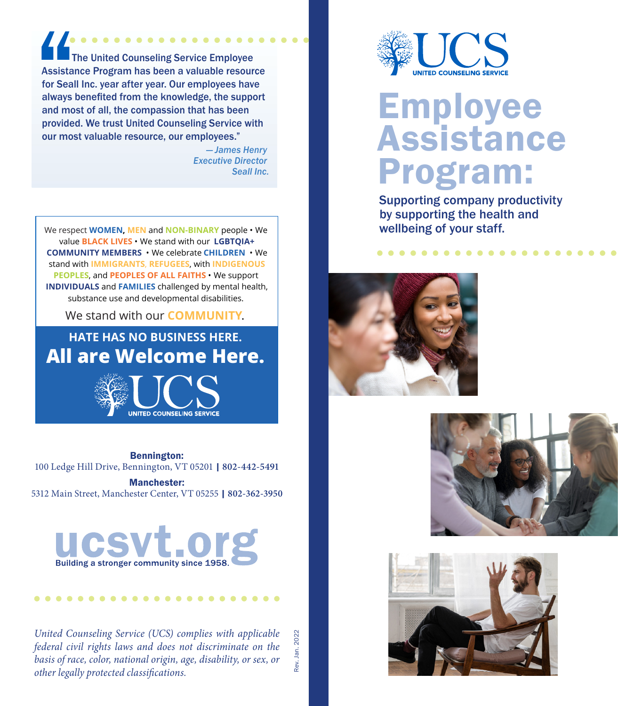$\bullet\bullet\bullet\bullet$  The United Counseling Service Employee Assistance Program has been a valuable resource for Seall Inc. year after year. Our employees have always benefited from the knowledge, the support and most of all, the compassion that has been provided. We trust United Counseling Service with our most valuable resource, our employees."

> *— James Henry Executive Director Seall Inc.*

We respect **WOMEN, MEN** and **NON-BINARY** people • We value **BLACK LIVES** • We stand with our **LGBTQIA+ COMMUNITY MEMBERS** • We celebrate **CHILDREN** • We stand with **IMMIGRANTS**, **REFUGEES**, with **INDIGENOUS PEOPLES**, and **PEOPLES OF ALL FAITHS** • We support **INDIVIDUALS** and **FAMILIES** challenged by mental health, substance use and developmental disabilities.

We stand with our **COMMUNITY**.

**HATE HAS NO BUSINESS HERE. All are Welcome Here.**



Bennington: 100 Ledge Hill Drive, Bennington, VT 05201 | **802-442-5491**

Manchester: 5312 Main Street, Manchester Center, VT 05255 | **802-362-3950**



*United Counseling Service (UCS) complies with applicable federal civil rights laws and does not discriminate on the basis of race, color, national origin, age, disability, or sex, or other legally protected classifications.*

Rev. Jan. 2022Rev. Jan. 2022



# Employee Assistance Program:

Supporting company productivity by supporting the health and wellbeing of your staff.